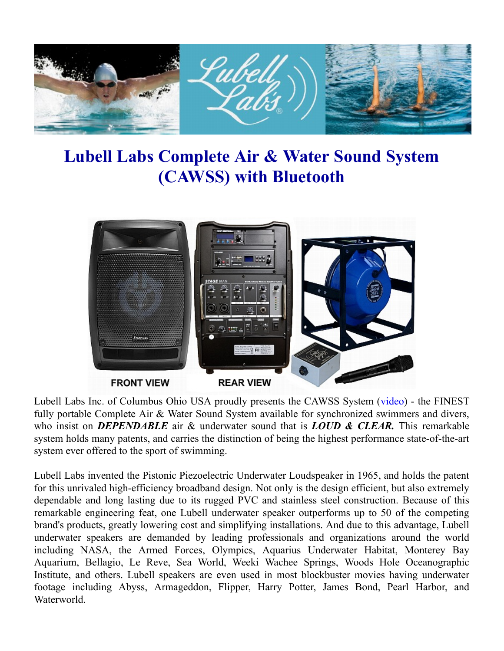

## **Lubell Labs Complete Air & Water Sound System (CAWSS) with Bluetooth**



Lubell Labs Inc. of Columbus Ohio USA proudly presents the CAWSS System (video) - the FINEST fully portable Complete Air & Water Sound System available for synchronized swimmers and divers, who insist on *DEPENDABLE* air & underwater sound that is *LOUD & CLEAR.* This remarkable system holds many patents, and carries the distinction of being the highest performance state-of-the-art system ever offered to the sport of swimming.

Lubell Labs invented the Pistonic Piezoelectric Underwater Loudspeaker in 1965, and holds the patent for this unrivaled high-efficiency broadband design. Not only is the design efficient, but also extremely dependable and long lasting due to its rugged PVC and stainless steel construction. Because of this remarkable engineering feat, one Lubell underwater speaker outperforms up to 50 of the competing brand's products, greatly lowering cost and simplifying installations. And due to this advantage, Lubell underwater speakers are demanded by leading professionals and organizations around the world including NASA, the Armed Forces, Olympics, Aquarius Underwater Habitat, Monterey Bay Aquarium, Bellagio, Le Reve, Sea World, Weeki Wachee Springs, Woods Hole Oceanographic Institute, and others. Lubell speakers are even used in most blockbuster movies having underwater footage including Abyss, Armageddon, Flipper, Harry Potter, James Bond, Pearl Harbor, and Waterworld.